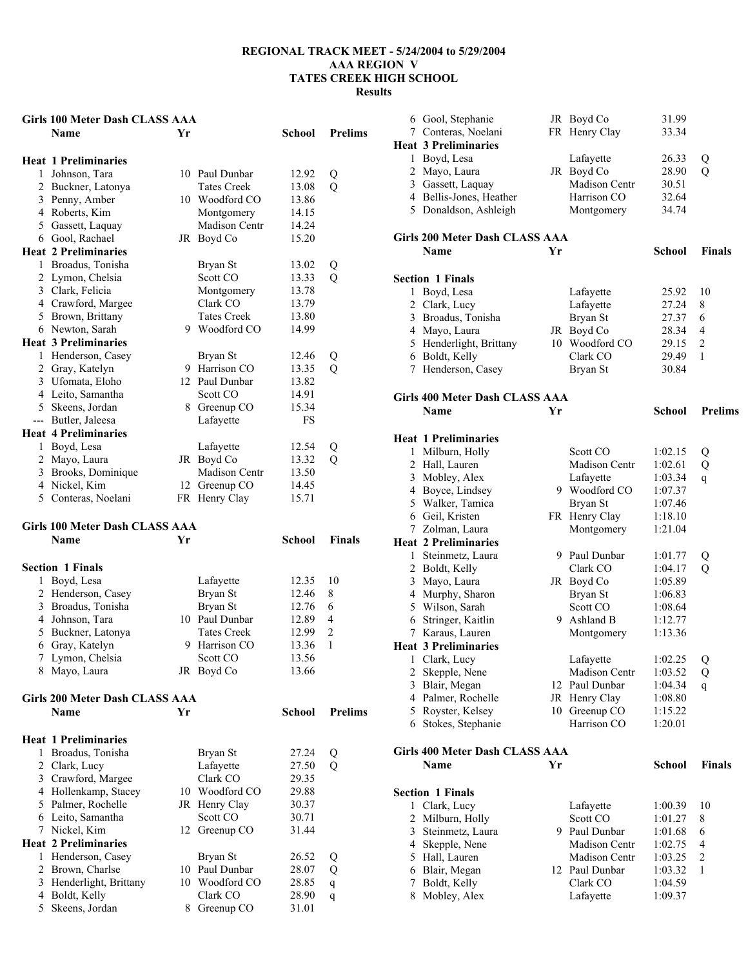### **Girls 100 Meter Dash CLASS AAA**

|              | GIHS TOO MEET DASII CLASS AAA |    |                    |           |                |
|--------------|-------------------------------|----|--------------------|-----------|----------------|
|              | <b>Name</b>                   | Yr |                    | School    | <b>Prelims</b> |
|              | <b>Heat 1 Preliminaries</b>   |    |                    |           |                |
| 1            | Johnson, Tara                 |    | 10 Paul Dunbar     | 12.92     | Q              |
|              | 2 Buckner, Latonya            |    | <b>Tates Creek</b> | 13.08     | Q              |
|              | 3 Penny, Amber                |    | 10 Woodford CO     | 13.86     |                |
|              | 4 Roberts, Kim                |    | Montgomery         | 14.15     |                |
| 5            | Gassett, Laquay               |    | Madison Centr      | 14.24     |                |
| 6            | Gool, Rachael                 | JR | Boyd Co            | 15.20     |                |
|              | <b>Heat 2 Preliminaries</b>   |    |                    |           |                |
| 1            | Broadus, Tonisha              |    | Bryan St           | 13.02     | Q              |
| 2            | Lymon, Chelsia                |    | Scott CO           | 13.33     | Q              |
|              | 3 Clark, Felicia              |    | Montgomery         | 13.78     |                |
|              | 4 Crawford, Margee            |    | Clark CO           | 13.79     |                |
|              | 5 Brown, Brittany             |    | <b>Tates Creek</b> | 13.80     |                |
|              | 6 Newton, Sarah               | 9  | Woodford CO        | 14.99     |                |
|              | <b>Heat 3 Preliminaries</b>   |    |                    |           |                |
| $\mathbf{1}$ | Henderson, Casey              |    | Bryan St           | 12.46     | Q              |
|              | 2 Gray, Katelyn               | 9. | Harrison CO        | 13.35     | Q              |
|              | 3 Ufomata, Eloho              |    | 12 Paul Dunbar     | 13.82     |                |
|              | 4 Leito, Samantha             |    | Scott CO           | 14.91     |                |
|              | 5 Skeens, Jordan              |    | 8 Greenup CO       | 15.34     |                |
| ---          | Butler, Jaleesa               |    | Lafayette          | <b>FS</b> |                |
|              | <b>Heat 4 Preliminaries</b>   |    |                    |           |                |
| 1            | Boyd, Lesa                    |    | Lafayette          | 12.54     | Q              |
|              | 2 Mayo, Laura                 | JR | Boyd Co            | 13.32     | Q              |
|              | 3 Brooks, Dominique           |    | Madison Centr      | 13.50     |                |
|              | 4 Nickel, Kim                 |    | 12 Greenup CO      | 14.45     |                |
| 5            | Conteras, Noelani             |    | FR Henry Clay      | 15.71     |                |
|              |                               |    |                    |           |                |

# **Girls 100 Meter Dash CLASS AAA**

| <b>Name</b>             | Үr |                    | School                       | <b>Finals</b>  |
|-------------------------|----|--------------------|------------------------------|----------------|
| <b>Section 1 Finals</b> |    |                    |                              |                |
| Boyd, Lesa              |    | Lafayette          | 12.35                        | 10             |
| 2 Henderson, Casey      |    | Bryan St           | 12.46                        | 8              |
| 3 Broadus, Tonisha      |    | Brvan St           | 12.76                        | 6              |
| 4 Johnson, Tara         |    |                    | 12.89                        | 4              |
| 5 Buckner, Latonya      |    | <b>Tates Creek</b> | 12.99                        | $\mathfrak{D}$ |
| 6 Gray, Katelyn         | 9  | Harrison CO        | 13.36                        |                |
| 7 Lymon, Chelsia        |    | Scott CO           | 13.56                        |                |
| Mayo, Laura             |    |                    | 13.66                        |                |
|                         |    |                    | 10 Paul Dunbar<br>JR Boyd Co |                |

#### **Girls 200 Meter Dash CLASS AAA Name Yr School Prelims**

|    | <b>Heat 1 Preliminaries</b> |    |                |       |   |  |
|----|-----------------------------|----|----------------|-------|---|--|
|    | Broadus, Tonisha            |    | Bryan St       | 27.24 | Q |  |
|    | 2 Clark, Lucy               |    | Lafayette      | 27.50 | Q |  |
| 3  | Crawford, Margee            |    | Clark CO       | 29.35 |   |  |
| 4  | Hollenkamp, Stacey          |    | 10 Woodford CO | 29.88 |   |  |
| 5. | Palmer, Rochelle            |    | JR Henry Clay  | 30.37 |   |  |
| 6  | Leito, Samantha             |    | Scott CO       | 30.71 |   |  |
|    | Nickel, Kim                 |    | 12 Greenup CO  | 31.44 |   |  |
|    | <b>Heat 2 Preliminaries</b> |    |                |       |   |  |
|    | Henderson, Casey            |    | Bryan St       | 26.52 | Q |  |
| 2  | Brown, Charlse              | 10 | Paul Dunbar    | 28.07 | Q |  |
| 3  | Henderlight, Brittany       |    | 10 Woodford CO | 28.85 | q |  |
| 4  | Boldt, Kelly                |    | Clark CO       | 28.90 | q |  |
|    | Skeens, Jordan              | 8  | Greenup CO     | 31.01 |   |  |
|    |                             |    |                |       |   |  |

|   | 6 Gool, Stephanie                     |    | JR Boyd Co           | 31.99         |                |
|---|---------------------------------------|----|----------------------|---------------|----------------|
|   | 7 Conteras, Noelani                   |    | FR Henry Clay        | 33.34         |                |
|   | <b>Heat 3 Preliminaries</b>           |    |                      |               |                |
|   |                                       |    | Lafayette            | 26.33         |                |
|   | 1 Boyd, Lesa                          |    |                      |               | Q              |
|   | 2 Mayo, Laura                         |    | JR Boyd Co           | 28.90         | Q              |
|   | 3 Gassett, Laquay                     |    | <b>Madison Centr</b> | 30.51         |                |
|   | 4 Bellis-Jones, Heather               |    | Harrison CO          | 32.64         |                |
|   | 5 Donaldson, Ashleigh                 |    | Montgomery           | 34.74         |                |
|   |                                       |    |                      |               |                |
|   | <b>Girls 200 Meter Dash CLASS AAA</b> |    |                      |               |                |
|   | Name                                  | Yr |                      | <b>School</b> | <b>Finals</b>  |
|   |                                       |    |                      |               |                |
|   | <b>Section 1 Finals</b>               |    |                      |               |                |
|   | 1 Boyd, Lesa                          |    | Lafayette            | 25.92         | 10             |
|   | 2 Clark, Lucy                         |    | Lafayette            | 27.24         | 8              |
|   | 3 Broadus, Tonisha                    |    | Bryan St             | 27.37         | 6              |
|   | 4 Mayo, Laura                         |    | JR Boyd Co           | 28.34         | $\overline{4}$ |
|   | 5 Henderlight, Brittany               |    | 10 Woodford CO       | 29.15         | $\overline{c}$ |
|   | 6 Boldt, Kelly                        |    | Clark CO             | 29.49         | 1              |
|   | 7 Henderson, Casey                    |    | Bryan St             | 30.84         |                |
|   |                                       |    |                      |               |                |
|   | <b>Girls 400 Meter Dash CLASS AAA</b> |    |                      |               |                |
|   | Name                                  | Yr |                      | <b>School</b> | <b>Prelims</b> |
|   |                                       |    |                      |               |                |
|   | <b>Heat 1 Preliminaries</b>           |    |                      |               |                |
|   | 1 Milburn, Holly                      |    | Scott CO             | 1:02.15       | Q              |
|   | 2 Hall, Lauren                        |    | Madison Centr        | 1:02.61       | Q              |
|   | 3 Mobley, Alex                        |    | Lafayette            | 1:03.34       | $\mathbf q$    |
|   | 4 Boyce, Lindsey                      |    | 9 Woodford CO        | 1:07.37       |                |
|   | 5 Walker, Tamica                      |    | Bryan St             | 1:07.46       |                |
|   | 6 Geil, Kristen                       |    | FR Henry Clay        | 1:18.10       |                |
|   | 7 Zolman, Laura                       |    | Montgomery           | 1:21.04       |                |
|   | <b>Heat 2 Preliminaries</b>           |    |                      |               |                |
|   |                                       |    |                      |               |                |
|   | 1 Steinmetz, Laura                    |    | 9 Paul Dunbar        | 1:01.77       | Q              |
|   | 2 Boldt, Kelly                        |    | Clark CO             | 1:04.17       | Q              |
|   | 3 Mayo, Laura                         |    | JR Boyd Co           | 1:05.89       |                |
|   | 4 Murphy, Sharon                      |    | Bryan St             | 1:06.83       |                |
|   | 5 Wilson, Sarah                       |    | Scott CO             | 1:08.64       |                |
|   | 6 Stringer, Kaitlin                   |    | 9 Ashland B          | 1:12.77       |                |
|   | 7 Karaus, Lauren                      |    | Montgomery           | 1:13.36       |                |
|   | <b>Heat 3 Preliminaries</b>           |    |                      |               |                |
|   | 1 Clark, Lucy                         |    | Lafayette            | 1:02.25       | Q              |
|   | 2 Skepple, Nene                       |    | Madison Centr        | 1:03.52       | Q              |
|   | 3 Blair, Megan                        | 12 | Paul Dunbar          | 1:04.34       | q              |
|   | 4 Palmer, Rochelle                    |    | JR Henry Clay        | 1:08.80       |                |
|   | 5 Royster, Kelsey                     |    | 10 Greenup CO        | 1:15.22       |                |
|   | 6 Stokes, Stephanie                   |    | Harrison CO          | 1:20.01       |                |
|   |                                       |    |                      |               |                |
|   | <b>Girls 400 Meter Dash CLASS AAA</b> |    |                      |               |                |
|   | Name                                  | Yr |                      | <b>School</b> | Finals         |
|   |                                       |    |                      |               |                |
|   | <b>Section 1 Finals</b>               |    |                      |               |                |
|   | 1 Clark, Lucy                         |    | Lafayette            | 1:00.39       | 10             |
|   | 2 Milburn, Holly                      |    | Scott CO             | 1:01.27       | 8              |
|   | 3 Steinmetz, Laura                    |    | 9 Paul Dunbar        | 1:01.68       | 6              |
|   | 4 Skepple, Nene                       |    | Madison Centr        | 1:02.75       | 4              |
|   | 5 Hall, Lauren                        |    | Madison Centr        | 1:03.25       | 2              |
|   | 6 Blair, Megan                        |    | 12 Paul Dunbar       | 1:03.32       | 1              |
| 7 | Boldt, Kelly                          |    | Clark CO             | 1:04.59       |                |
|   | 8 Mobley, Alex                        |    | Lafayette            | 1:09.37       |                |
|   |                                       |    |                      |               |                |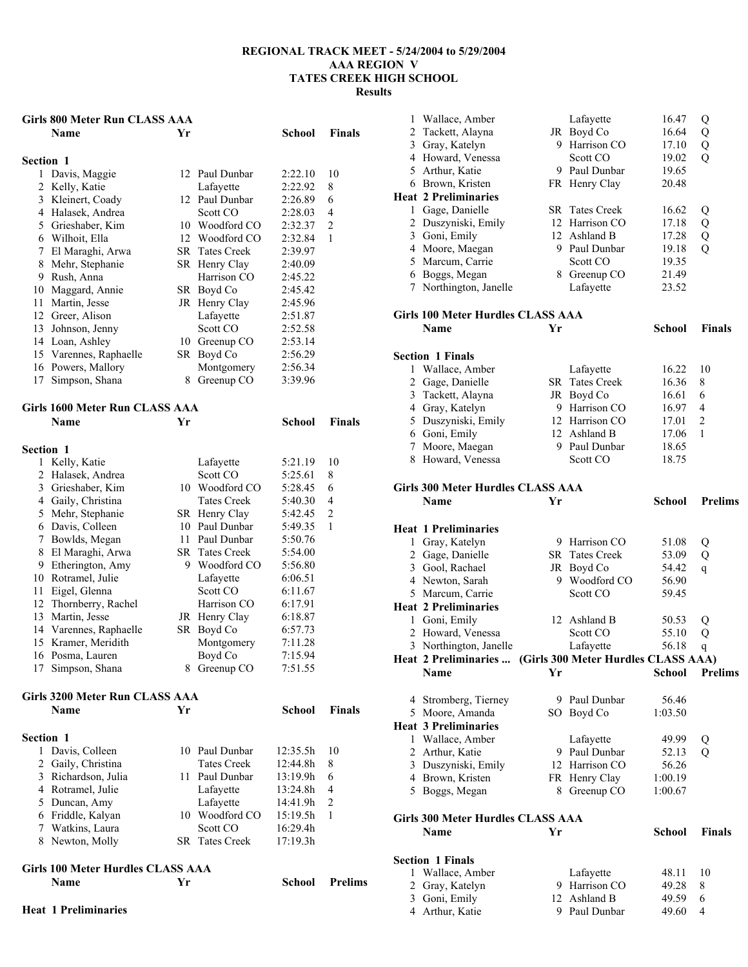### **Girls 800 Meter Run CLASS AAA**

|                  | <b>Name</b>                           | Yr |                       | School  | Finals         |
|------------------|---------------------------------------|----|-----------------------|---------|----------------|
| <b>Section 1</b> |                                       |    |                       |         |                |
| 1                | Davis, Maggie                         |    | 12 Paul Dunbar        | 2:22.10 | 10             |
| 2                | Kelly, Katie                          |    | Lafayette             | 2:22.92 | 8              |
|                  | 3 Kleinert, Coady                     |    | 12 Paul Dunbar        | 2:26.89 | 6              |
|                  | 4 Halasek, Andrea                     |    | Scott CO              | 2:28.03 | 4              |
|                  | 5 Grieshaber, Kim                     |    | 10 Woodford CO        | 2:32.37 | $\overline{2}$ |
|                  | 6 Wilhoit, Ella                       |    | 12 Woodford CO        | 2:32.84 | 1              |
|                  | 7 El Maraghi, Arwa                    |    | SR Tates Creek        | 2:39.97 |                |
|                  | 8 Mehr, Stephanie                     |    | SR Henry Clay         | 2:40.09 |                |
|                  | 9 Rush, Anna                          |    | Harrison CO           | 2:45.22 |                |
|                  | 10 Maggard, Annie                     |    | SR Boyd Co            | 2:45.42 |                |
|                  | 11 Martin, Jesse                      |    | JR Henry Clay         | 2:45.96 |                |
|                  | 12 Greer, Alison                      |    | Lafayette             | 2:51.87 |                |
|                  | 13 Johnson, Jenny                     |    | Scott CO              | 2:52.58 |                |
|                  | 14 Loan, Ashley                       |    | 10 Greenup CO         | 2:53.14 |                |
|                  | 15 Varennes, Raphaelle                |    | SR Boyd Co            | 2:56.29 |                |
|                  | 16 Powers, Mallory                    |    | Montgomery            | 2:56.34 |                |
|                  | 17 Simpson, Shana                     |    | 8 Greenup CO          | 3:39.96 |                |
|                  |                                       |    |                       |         |                |
|                  | <b>Girls 1600 Meter Run CLASS AAA</b> |    |                       |         |                |
|                  | <b>Name</b>                           | Yr |                       | School  | <b>Finals</b>  |
|                  |                                       |    |                       |         |                |
| <b>Section 1</b> |                                       |    |                       |         |                |
|                  | 1 Kelly, Katie                        |    | Lafayette             | 5:21.19 | 10             |
|                  | 2 Halasek, Andrea                     |    | Scott CO              | 5:25.61 | 8              |
|                  | 3 Grieshaber, Kim                     |    | 10 Woodford CO        | 5:28.45 | 6              |
|                  | 4 Gaily, Christina                    |    | <b>Tates Creek</b>    | 5:40.30 | 4              |
|                  | 5 Mehr, Stephanie                     |    | SR Henry Clay         | 5:42.45 | $\overline{2}$ |
|                  | 6 Davis, Colleen                      |    | 10 Paul Dunbar        | 5:49.35 | 1              |
|                  | 7 Bowlds, Megan                       |    | 11 Paul Dunbar        | 5:50.76 |                |
|                  | 8 El Maraghi, Arwa                    |    | <b>SR</b> Tates Creek | 5:54.00 |                |
|                  | 9 Etherington, Amy                    |    | 9 Woodford CO         | 5:56.80 |                |
|                  | 10 Rotramel, Julie                    |    | Lafayette             | 6:06.51 |                |
|                  | 11 Eigel, Glenna                      |    | Scott CO              | 6:11.67 |                |
|                  | 12 Thornberry, Rachel                 |    | Harrison CO           | 6:17.91 |                |
|                  | 13 Martin, Jesse                      |    | JR Henry Clay         | 6:18.87 |                |
|                  | 14 Varennes, Raphaelle                | SR | Boyd Co               | 6:57.73 |                |
|                  | 15 Kramer, Meridith                   |    | Montgomery            | 7:11.28 |                |
|                  | 16 Posma, Lauren                      |    | Boyd Co               | 7:15.94 |                |
| 17               | Simpson, Shana                        |    | 8 Greenup CO          | 7:51.55 |                |
|                  |                                       |    |                       |         |                |
|                  | <b>Girls 3200 Meter Run CLASS AAA</b> |    |                       |         |                |
|                  | <b>Name</b>                           | Yr |                       | School  | <b>Finals</b>  |
|                  |                                       |    |                       |         |                |
| <b>Section 1</b> |                                       |    |                       |         |                |

| ection i            |                       |          |                |
|---------------------|-----------------------|----------|----------------|
| 1 Davis, Colleen    | 10 Paul Dunbar        | 12:35.5h | 10             |
| 2 Gaily, Christina  | <b>Tates Creek</b>    | 12:44.8h | 8              |
| 3 Richardson, Julia | 11 Paul Dunbar        | 13:19.9h | 6              |
| 4 Rotramel, Julie   | Lafayette             | 13:24.8h | $\overline{4}$ |
| 5 Duncan, Amy       | Lafayette             | 14:41.9h | 2              |
| 6 Friddle, Kalyan   | 10 Woodford CO        | 15:19.5h |                |
| 7 Watkins, Laura    | Scott CO              | 16:29.4h |                |
| 8 Newton, Molly     | <b>SR</b> Tates Creek | 17:19.3h |                |
|                     |                       |          |                |

**School Prelims** 

# **Girls 100 Meter Hurdles CLASS AAA**

| <b>Heat 1 Preliminaries</b> |  |
|-----------------------------|--|

| 1              | Wallace, Amber                           |    | Lafayette                           | 16.47          | Q              |
|----------------|------------------------------------------|----|-------------------------------------|----------------|----------------|
|                | $\overline{c}$<br>Tackett, Alayna        |    | JR Boyd Co                          | 16.64          | Q              |
|                | 3 Gray, Katelyn                          |    | 9 Harrison CO                       | 17.10          | Q              |
|                | 4 Howard, Venessa                        |    | Scott CO                            | 19.02          | $\overline{Q}$ |
|                | 5<br>Arthur, Katie                       |    | 9 Paul Dunbar                       | 19.65          |                |
|                | 6 Brown, Kristen                         |    | FR Henry Clay                       | 20.48          |                |
|                | <b>Heat 2 Preliminaries</b>              |    |                                     |                |                |
|                | Gage, Danielle<br>1                      |    | <b>SR</b> Tates Creek               | 16.62          |                |
|                | 2<br>Duszyniski, Emily                   |    | 12 Harrison CO                      | 17.18          | Q<br>Q         |
|                | 3 Goni, Emily                            |    | 12 Ashland B                        | 17.28          | Q              |
|                | 4 Moore, Maegan                          |    | 9 Paul Dunbar                       | 19.18          | $\overline{Q}$ |
|                | 5 Marcum, Carrie                         |    | Scott CO                            | 19.35          |                |
|                |                                          |    |                                     |                |                |
|                | 6 Boggs, Megan<br>Northington, Janelle   |    | 8 Greenup CO                        | 21.49          |                |
| 7              |                                          |    | Lafayette                           | 23.52          |                |
|                | <b>Girls 100 Meter Hurdles CLASS AAA</b> |    |                                     |                |                |
|                | Name                                     | Yr |                                     | <b>School</b>  | <b>Finals</b>  |
|                |                                          |    |                                     |                |                |
|                | <b>Section 1 Finals</b>                  |    |                                     |                |                |
| 1              | Wallace, Amber                           |    | Lafayette                           | 16.22          | 10             |
| $\overline{2}$ | Gage, Danielle                           |    | SR Tates Creek                      | 16.36          | 8              |
| 3              | Tackett, Alayna                          |    | JR Boyd Co                          | 16.61          | 6              |
|                | 4 Gray, Katelyn                          |    | 9 Harrison CO                       | 16.97          | 4              |
|                |                                          |    | 12 Harrison CO                      | 17.01          | $\overline{c}$ |
|                | 5 Duszyniski, Emily                      |    | 12 Ashland B                        |                | 1              |
|                | 6 Goni, Emily                            |    |                                     | 17.06          |                |
| 7              | Moore, Maegan                            |    | 9 Paul Dunbar                       | 18.65          |                |
|                | 8 Howard, Venessa                        |    | Scott CO                            | 18.75          |                |
|                | <b>Girls 300 Meter Hurdles CLASS AAA</b> |    |                                     |                |                |
|                | <b>Name</b>                              | Yr |                                     | <b>School</b>  | <b>Prelims</b> |
|                |                                          |    |                                     |                |                |
|                | <b>Heat 1 Preliminaries</b>              |    |                                     |                |                |
|                | Gray, Katelyn<br>$\mathbf{1}$            |    | 9 Harrison CO                       | 51.08          | Q              |
|                | 2 Gage, Danielle                         |    | <b>SR</b> Tates Creek               | 53.09          | Q              |
|                | 3 Gool, Rachael                          |    | JR Boyd Co                          | 54.42          | q              |
|                | 4 Newton, Sarah                          |    | 9 Woodford CO                       | 56.90          |                |
|                | 5 Marcum, Carrie                         |    | Scott CO                            | 59.45          |                |
|                | <b>Heat 2 Preliminaries</b>              |    |                                     |                |                |
|                | 1 Goni, Emily                            |    | 12 Ashland B                        |                |                |
| $\overline{c}$ | Howard, Venessa                          |    | Scott CO                            | 50.53<br>55.10 | Q              |
| 3              |                                          |    |                                     | 56.18          | Q              |
|                | Northington, Janelle                     |    | Lafayette                           |                | q              |
|                | Heat 2 Preliminaries                     |    | (Girls 300 Meter Hurdles CLASS AAA) |                | <b>Prelims</b> |
|                | Name                                     | Yr |                                     | <b>School</b>  |                |
|                | 4 Stromberg, Tierney                     |    | 9 Paul Dunbar                       | 56.46          |                |
|                | 5 Moore, Amanda                          |    | SO Boyd Co                          | 1:03.50        |                |
|                |                                          |    |                                     |                |                |
|                | <b>Heat 3 Preliminaries</b>              |    |                                     |                |                |
|                | Wallace, Amber<br>1                      |    | Lafayette                           | 49.99          | Q              |
|                | $\overline{2}$<br>Arthur, Katie          |    | 9 Paul Dunbar                       | 52.13          | Q              |
|                | 3 Duszyniski, Emily                      |    | 12 Harrison CO                      | 56.26          |                |
|                | Brown, Kristen<br>4                      |    | FR Henry Clay                       | 1:00.19        |                |
| 5              | Boggs, Megan                             | 8  | Greenup CO                          | 1:00.67        |                |
|                | Girls 300 Meter Hurdles CLASS AAA        |    |                                     |                |                |
|                | Name                                     | Yr |                                     | <b>School</b>  | Finals         |
|                |                                          |    |                                     |                |                |
|                |                                          |    |                                     |                |                |
|                |                                          |    |                                     |                |                |
| 1              | <b>Section 1 Finals</b>                  |    |                                     |                |                |
|                | Wallace, Amber                           |    | Lafayette                           | 48.11          | 10             |
| 2<br>3         | Gray, Katelyn<br>Goni, Emily             | 12 | 9 Harrison CO<br>Ashland B          | 49.28<br>49.59 | 8<br>6         |

Arthur, Katie 9 Paul Dunbar 49.60 4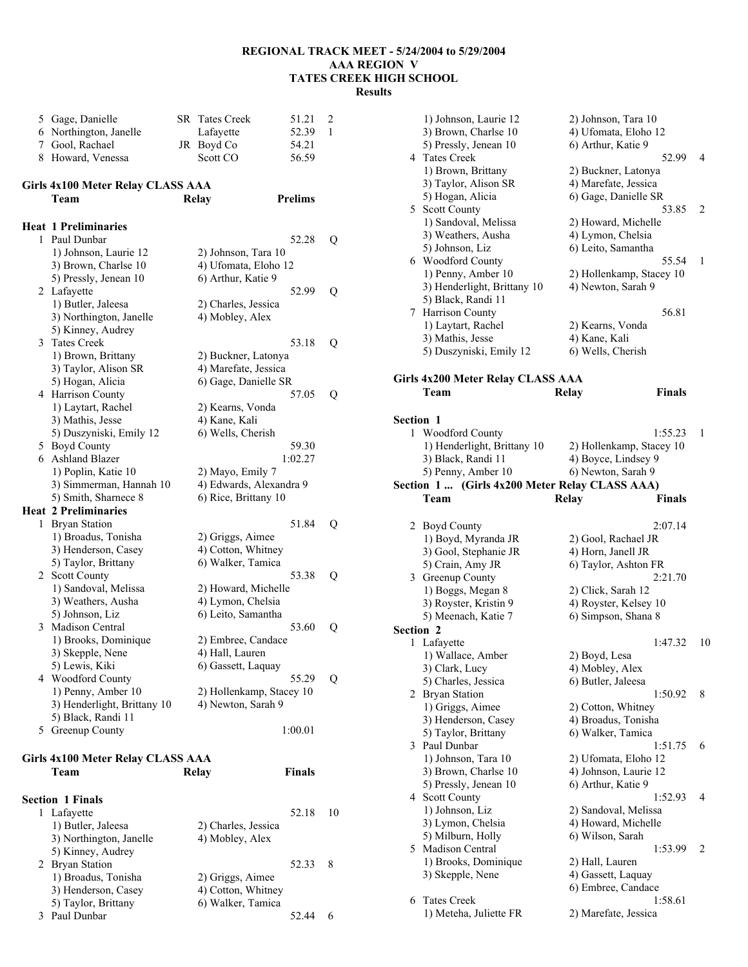5 Gage, Danielle SR Tates Creek 51.21 2 6 Northington, Janelle Lafayette 52.39 1 7 Gool, Rachael JR Boyd Co 54.21 8 Howard, Venessa Scott CO 56.59 **Girls 4x100 Meter Relay CLASS AAA Team Relay Prelims Heat 1 Preliminaries**  1 Paul Dunbar 52.28 Q 1) Johnson, Laurie 12 2) Johnson, Tara 10 3) Brown, Charlse 10 4) Ufomata, Eloho 12 5) Pressly, Jenean 10 6) Arthur, Katie 9 2 Lafayette 52.99 Q 1) Butler, Jaleesa 2) Charles, Jessica 3) Northington, Janelle 4) Mobley, Alex 5) Kinney, Audrey 3 Tates Creek 53.18 Q 1) Brown, Brittany 2) Buckner, Latonya 3) Taylor, Alison SR 4) Marefate, Jessica<br>5) Hogan, Alicia 6) Gage, Danielle SI 6) Gage, Danielle SR 4 Harrison County 57.05 Q 1) Laytart, Rachel 2) Kearns, Vonda 3) Mathis, Jesse 4) Kane, Kali 5) Duszyniski, Emily 12 6) Wells, Cherish 5 Boyd County 59.30 6 Ashland Blazer 1:02.27 1) Poplin, Katie 10 2) Mayo, Emily 7 3) Simmerman, Hannah 10 4) Edwards, Alexandra 9 5) Smith, Sharnece 8 6) Rice, Brittany 10 **Heat 2 Preliminaries**  1 Bryan Station 51.84 Q 1) Broadus, Tonisha 2) Griggs, Aimee 3) Henderson, Casey 4) Cotton, Whitney 5) Taylor, Brittany 6) Walker, Tamica 2 Scott County 53.38 Q 1) Sandoval, Melissa 2) Howard, Michelle 3) Weathers, Ausha 4) Lymon, Chelsia 5) Johnson, Liz 6) Leito, Samantha 3 Madison Central 53.60 Q 1) Brooks, Dominique 2) Embree, Candace 3) Skepple, Nene 4) Hall, Lauren 5) Lewis, Kiki 6) Gassett, Laquay 4 Woodford County 55.29 Q 1) Penny, Amber 10 2) Hollenkamp, Stacey 10 3) Henderlight, Brittany 10 4) Newton, Sarah 9 5) Black, Randi 11 5 Greenup County 1:00.01 **Girls 4x100 Meter Relay CLASS AAA Team Relay Finals Section 1 Finals**  1 Lafayette 52.18 10 1) Butler, Jaleesa 2) Charles, Jessica 3) Northington, Janelle 4) Mobley, Alex 5) Kinney, Audrey 2 Bryan Station 52.33 8 1) Broadus, Tonisha 2) Griggs, Aimee

3) Henderson, Casey 4) Cotton, Whitney 5) Taylor, Brittany 6) Walker, Tamica 3 Paul Dunbar 52.44 6

|                  | 1) Johnson, Laurie 12<br>3) Brown, Charlse 10<br>5) Pressly, Jenean 10           | 2) Johnson, Tara 10<br>4) Ufomata, Eloho 12<br>6) Arthur, Katie 9         |    |
|------------------|----------------------------------------------------------------------------------|---------------------------------------------------------------------------|----|
|                  | 4 Tates Creek<br>1) Brown, Brittany<br>3) Taylor, Alison SR                      | 52.99<br>2) Buckner, Latonya<br>4) Marefate, Jessica                      | 4  |
|                  | 5) Hogan, Alicia<br>5 Scott County<br>1) Sandoval, Melissa<br>3) Weathers, Ausha | 6) Gage, Danielle SR<br>53.85<br>2) Howard, Michelle<br>4) Lymon, Chelsia | 2  |
|                  | 5) Johnson, Liz<br>6 Woodford County                                             | 6) Leito, Samantha<br>55.54                                               | 1  |
|                  | 1) Penny, Amber 10<br>3) Henderlight, Brittany 10<br>5) Black, Randi 11          | 2) Hollenkamp, Stacey 10<br>4) Newton, Sarah 9                            |    |
|                  | 7 Harrison County<br>1) Laytart, Rachel<br>3) Mathis, Jesse                      | 56.81<br>2) Kearns, Vonda<br>4) Kane, Kali                                |    |
|                  | 5) Duszyniski, Emily 12                                                          | 6) Wells, Cherish                                                         |    |
|                  | Girls 4x200 Meter Relay CLASS AAA                                                |                                                                           |    |
|                  | Team                                                                             | <b>Finals</b><br>Relay                                                    |    |
| <b>Section 1</b> |                                                                                  |                                                                           |    |
| 1                | <b>Woodford County</b><br>1) Henderlight, Brittany 10                            | 1:55.23<br>2) Hollenkamp, Stacey 10                                       | 1  |
|                  | 3) Black, Randi 11                                                               | 4) Boyce, Lindsey 9                                                       |    |
|                  | 5) Penny, Amber 10                                                               | 6) Newton, Sarah 9                                                        |    |
|                  | Section 1  (Girls 4x200 Meter Relay CLASS AAA)                                   |                                                                           |    |
|                  | Team                                                                             | <b>Relay</b><br>Finals                                                    |    |
|                  |                                                                                  |                                                                           |    |
|                  | 2 Boyd County                                                                    | 2:07.14                                                                   |    |
|                  | 1) Boyd, Myranda JR                                                              | 2) Gool, Rachael JR                                                       |    |
|                  | 3) Gool, Stephanie JR                                                            | 4) Horn, Janell JR                                                        |    |
|                  | 5) Crain, Amy JR                                                                 | 6) Taylor, Ashton FR                                                      |    |
|                  | 3 Greenup County                                                                 | 2:21.70                                                                   |    |
|                  | 1) Boggs, Megan 8                                                                | 2) Click, Sarah 12                                                        |    |
|                  | 3) Royster, Kristin 9<br>5) Meenach, Katie 7                                     | 4) Royster, Kelsey 10<br>6) Simpson, Shana 8                              |    |
| Section 2        |                                                                                  |                                                                           |    |
|                  | 1 Lafayette                                                                      | 1:47.32                                                                   | 10 |
|                  | 1) Wallace, Amber                                                                | 2) Boyd, Lesa                                                             |    |
|                  | 3) Clark, Lucy                                                                   | 4) Mobley, Alex                                                           |    |
|                  | 5) Charles, Jessica                                                              | 6) Butler, Jaleesa                                                        |    |
|                  | 2 Bryan Station                                                                  | 1:50.92                                                                   | 8  |
|                  | 1) Griggs, Aimee<br>3) Henderson, Casey                                          | 2) Cotton, Whitney<br>4) Broadus, Tonisha                                 |    |
|                  | 5) Taylor, Brittany                                                              | 6) Walker, Tamica                                                         |    |
| 3                | Paul Dunbar                                                                      | 1:51.75                                                                   | 6  |
|                  | 1) Johnson, Tara 10                                                              | 2) Ufomata, Eloho 12                                                      |    |
|                  | 3) Brown, Charlse 10                                                             | 4) Johnson, Laurie 12                                                     |    |
|                  | 5) Pressly, Jenean 10                                                            | 6) Arthur, Katie 9<br>1:52.93                                             | 4  |
|                  | 4 Scott County<br>1) Johnson, Liz                                                | 2) Sandoval, Melissa                                                      |    |
|                  | 3) Lymon, Chelsia                                                                | 4) Howard, Michelle                                                       |    |
|                  | 5) Milburn, Holly                                                                | 6) Wilson, Sarah                                                          |    |
| 5.               | Madison Central                                                                  | 1:53.99                                                                   | 2  |
|                  | 1) Brooks, Dominique                                                             | 2) Hall, Lauren                                                           |    |
|                  | 3) Skepple, Nene                                                                 | 4) Gassett, Laquay                                                        |    |
| 6                | <b>Tates Creek</b>                                                               | 6) Embree, Candace<br>1:58.61                                             |    |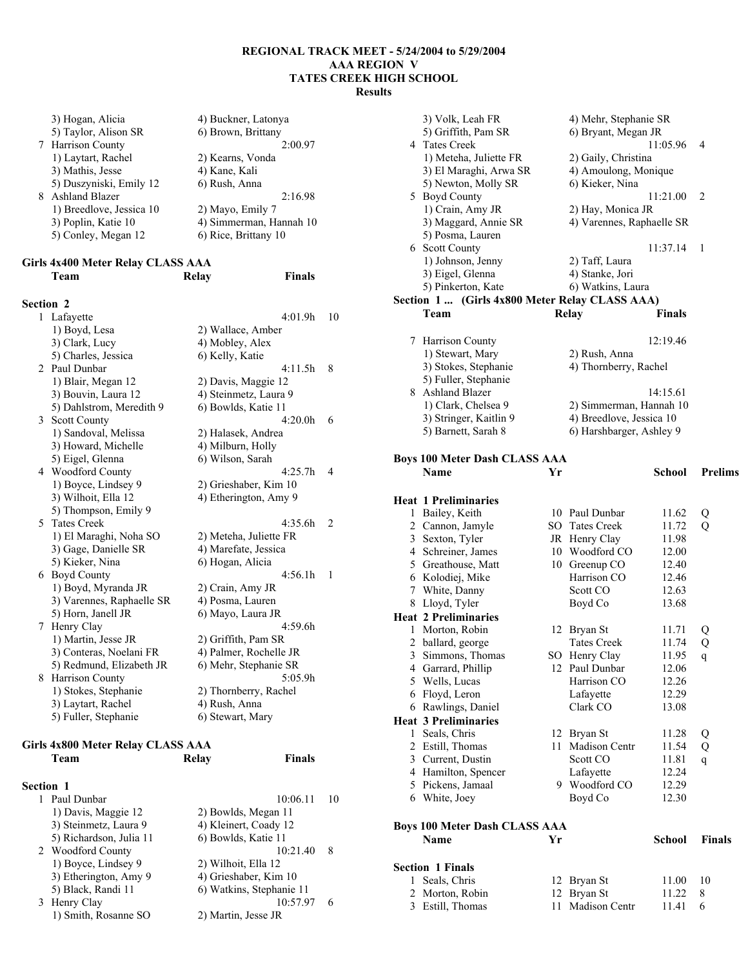3) Hogan, Alicia 4) Buckner, Latonya<br>5) Taylor, Alison SR 6) Brown, Brittany  $\overline{6}$ ) Brown, Brittany<br>2:00.97 7 Harrison County 1) Laytart, Rachel 2) Kearns, Vonda<br>
3) Mathis, Jesse 4) Kane, Kali 3) Mathis, Jesse 4) Kane, Kali<br>5) Duszyniski, Emily 12 6) Rush, Anna  $5)$  Duszyniski, Emily 12 8 Ashland Blazer 2:16.98<br>1) Breedlove, Jessica 10 2) Mayo, Emily 7 1) Breedlove, Jessica 10 3) Poplin, Katie 10 4) Simmerman, Hannah 10 5) Conley, Megan 12 6) Rice, Brittany 10

#### **Girls 4x400 Meter Relay CLASS AAA Team Relay Finals**

### **Section 2**

| 1              | Lafayette                 | 4:01.9h                | 10             |
|----------------|---------------------------|------------------------|----------------|
|                | 1) Boyd, Lesa             | 2) Wallace, Amber      |                |
|                | 3) Clark, Lucy            | 4) Mobley, Alex        |                |
|                | 5) Charles, Jessica       | 6) Kelly, Katie        |                |
| $\mathfrak{D}$ | Paul Dunbar               | 4:11.5h                | 8              |
|                | 1) Blair, Megan 12        | 2) Davis, Maggie 12    |                |
|                | 3) Bouvin, Laura 12       | 4) Steinmetz, Laura 9  |                |
|                | 5) Dahlstrom, Meredith 9  | 6) Bowlds, Katie 11    |                |
|                | 3 Scott County            | 4:20.0h                | 6              |
|                | 1) Sandoval, Melissa      | 2) Halasek, Andrea     |                |
|                | 3) Howard, Michelle       | 4) Milburn, Holly      |                |
|                | 5) Eigel, Glenna          | 6) Wilson, Sarah       |                |
|                | 4 Woodford County         | 4:25.7h                | 4              |
|                | 1) Boyce, Lindsey 9       | 2) Grieshaber, Kim 10  |                |
|                | 3) Wilhoit, Ella 12       | 4) Etherington, Amy 9  |                |
|                | 5) Thompson, Emily 9      |                        |                |
|                | 5 Tates Creek             | 4:35.6h                | $\overline{2}$ |
|                | 1) El Maraghi, Noha SO    | 2) Meteha, Juliette FR |                |
|                | 3) Gage, Danielle SR      | 4) Marefate, Jessica   |                |
|                | 5) Kieker, Nina           | 6) Hogan, Alicia       |                |
|                | 6 Boyd County             | 4:56.1h                | 1              |
|                | 1) Boyd, Myranda JR       | 2) Crain, Amy JR       |                |
|                | 3) Varennes, Raphaelle SR | 4) Posma, Lauren       |                |
|                | 5) Horn, Janell JR        | 6) Mayo, Laura JR      |                |
| 7              | Henry Clay                | 4:59.6h                |                |
|                | 1) Martin, Jesse JR       | 2) Griffith, Pam SR    |                |
|                | 3) Conteras, Noelani FR   | 4) Palmer, Rochelle JR |                |
|                | 5) Redmund, Elizabeth JR  | 6) Mehr, Stephanie SR  |                |
|                | 8 Harrison County         | 5:05.9h                |                |
|                | 1) Stokes, Stephanie      | 2) Thornberry, Rachel  |                |
|                | 3) Laytart, Rachel        | 4) Rush, Anna          |                |
|                | 5) Fuller, Stephanie      | 6) Stewart, Mary       |                |
|                |                           |                        |                |

#### **Girls 4x800 Meter Relay CLASS AAA Team Relay Finals**

| <b>Section 1</b> |                         |                          |    |
|------------------|-------------------------|--------------------------|----|
|                  | Paul Dunbar             | 10:06.11                 | 10 |
|                  | 1) Davis, Maggie 12     | 2) Bowlds, Megan 11      |    |
|                  | 3) Steinmetz, Laura 9   | 4) Kleinert, Coady 12    |    |
|                  | 5) Richardson, Julia 11 | 6) Bowlds, Katie 11      |    |
|                  | 2 Woodford County       | 10:21.40                 | 8  |
|                  | 1) Boyce, Lindsey 9     | 2) Wilhoit, Ella 12      |    |
|                  | 3) Etherington, Amy 9   | 4) Grieshaber, Kim 10    |    |
|                  | 5) Black, Randi 11      | 6) Watkins, Stephanie 11 |    |
|                  | 3 Henry Clay            | 10:57.97                 | 6  |
|                  | 1) Smith, Rosanne SO    | 2) Martin, Jesse JR      |    |

|   | 3) Volk, Leah FR                               |          | 4) Mehr, Stephanie SR     |               |                |
|---|------------------------------------------------|----------|---------------------------|---------------|----------------|
|   | 5) Griffith, Pam SR                            |          | 6) Bryant, Megan JR       |               |                |
|   | 4 Tates Creek                                  |          |                           | 11:05.96      | 4              |
|   | 1) Meteha, Juliette FR                         |          | 2) Gaily, Christina       |               |                |
|   | 3) El Maraghi, Arwa SR                         |          | 4) Amoulong, Monique      |               |                |
|   | 5) Newton, Molly SR                            |          | 6) Kieker, Nina           |               |                |
|   | 5 Boyd County                                  |          |                           | 11:21.00      | 2              |
|   | 1) Crain, Amy JR                               |          | 2) Hay, Monica JR         |               |                |
|   | 3) Maggard, Annie SR                           |          | 4) Varennes, Raphaelle SR |               |                |
|   | 5) Posma, Lauren                               |          |                           |               |                |
|   | 6 Scott County                                 |          |                           | 11:37.14      | 1              |
|   | 1) Johnson, Jenny                              |          | 2) Taff, Laura            |               |                |
|   | 3) Eigel, Glenna                               |          | 4) Stanke, Jori           |               |                |
|   | 5) Pinkerton, Kate                             |          | 6) Watkins, Laura         |               |                |
|   | Section 1  (Girls 4x800 Meter Relay CLASS AAA) |          |                           |               |                |
|   | Team                                           |          | <b>Relay</b>              | <b>Finals</b> |                |
|   |                                                |          |                           |               |                |
|   | 7 Harrison County                              |          |                           | 12:19.46      |                |
|   | 1) Stewart, Mary                               |          | 2) Rush, Anna             |               |                |
|   | 3) Stokes, Stephanie                           |          | 4) Thornberry, Rachel     |               |                |
|   | 5) Fuller, Stephanie                           |          |                           |               |                |
|   | 8 Ashland Blazer                               |          |                           | 14:15.61      |                |
|   | 1) Clark, Chelsea 9                            |          | 2) Simmerman, Hannah 10   |               |                |
|   | 3) Stringer, Kaitlin 9                         |          | 4) Breedlove, Jessica 10  |               |                |
|   | 5) Barnett, Sarah 8                            |          | 6) Harshbarger, Ashley 9  |               |                |
|   |                                                |          |                           |               |                |
|   | <b>Boys 100 Meter Dash CLASS AAA</b>           |          |                           |               |                |
|   | <b>Name</b>                                    | Yr       |                           | School        | <b>Prelims</b> |
|   |                                                |          |                           |               |                |
|   | <b>Heat 1 Preliminaries</b>                    |          |                           |               |                |
| 1 | Bailey, Keith                                  |          | 10 Paul Dunbar            | 11.62         | Q              |
|   | 2 Cannon, Jamyle                               |          | SO Tates Creek            | 11.72         | Q              |
|   | 3 Sexton, Tyler                                |          | JR Henry Clay             | 11.98         |                |
|   | 4 Schreiner, James                             |          | 10 Woodford CO            | 12.00         |                |
|   | 5 Greathouse, Matt                             |          | 10 Greenup CO             | 12.40         |                |
|   | 6 Kolodiej, Mike                               |          | Harrison CO               | 12.46         |                |
|   | 7 White, Danny                                 |          | Scott CO                  | 12.63         |                |
|   | 8 Lloyd, Tyler                                 |          | Boyd Co                   | 13.68         |                |
|   | <b>Heat 2 Preliminaries</b>                    |          |                           |               |                |
| 1 | Morton, Robin                                  |          | 12 Bryan St               | 11.71         | Q              |
| 2 | ballard, george                                |          | <b>Tates Creek</b>        | 11.74         | Q              |
| 3 | Simmons, Thomas                                |          | SO Henry Clay             | 11.95         | q              |
| 4 | Garrard, Phillip                               |          | 12 Paul Dunbar            | 12.06         |                |
| 5 | Wells, Lucas                                   |          | Harrison CO               | 12.26         |                |
| 6 | Floyd, Leron                                   |          | Lafayette                 | 12.29         |                |
| 6 | Rawlings, Daniel                               |          | Clark CO                  | 13.08         |                |
|   | <b>Heat 3 Preliminaries</b>                    |          |                           |               |                |
| 1 | Seals, Chris                                   | 12       | Bryan St                  | 11.28         | Q              |
| 2 | Estill, Thomas                                 | 11       | Madison Centr             | 11.54         | Q              |
|   | 3 Current, Dustin                              |          | Scott CO                  | 11.81         | $\mathsf{q}$   |
|   | 4 Hamilton, Spencer                            |          | Lafayette                 | 12.24         |                |
| 5 | Pickens, Jamaal                                |          | 9 Woodford CO             | 12.29         |                |
|   | 6 White, Joey                                  |          | Boyd Co                   | 12.30         |                |
|   |                                                |          |                           |               |                |
|   | <b>Boys 100 Meter Dash CLASS AAA</b>           |          |                           |               |                |
|   | Name                                           | Yr       |                           | School        | Finals         |
|   |                                                |          |                           |               |                |
|   | <b>Section 1 Finals</b>                        |          |                           |               |                |
| 1 | Seals, Chris                                   |          |                           | 11.00         | 10             |
| 2 | Morton, Robin                                  | 12<br>12 | Bryan St<br>Bryan St      | 11.22         | 8              |
| 3 | Estill, Thomas                                 | 11       | Madison Centr             | 11.41         | 6              |
|   |                                                |          |                           |               |                |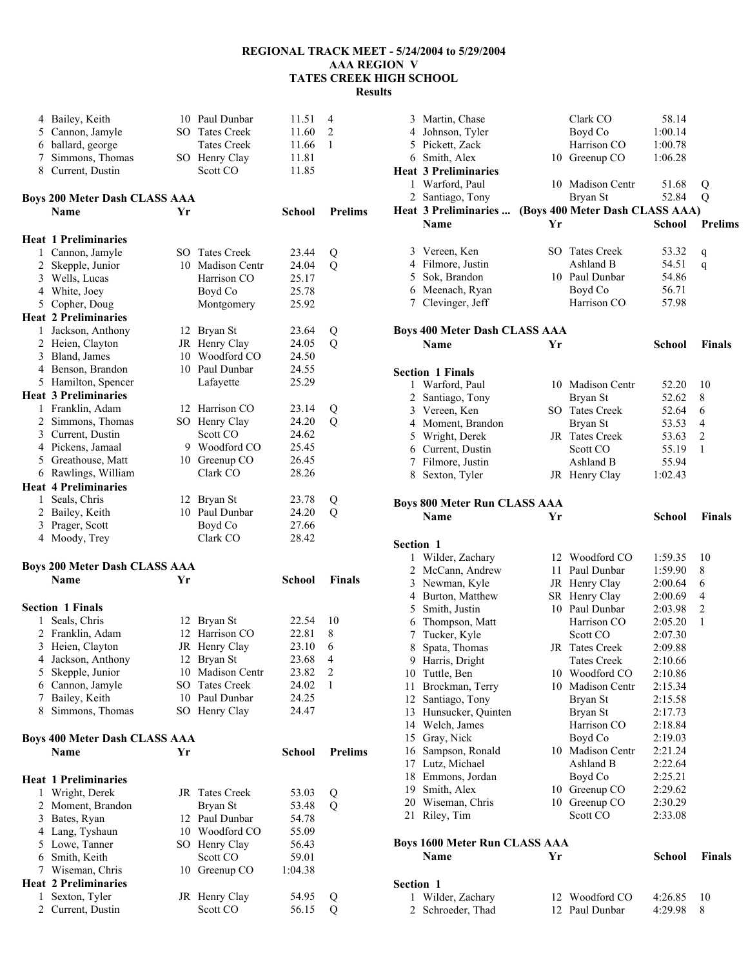|   | 4 Bailey, Keith                                     |     | 10 Paul Dunbar                      | 11.51         | 4              |
|---|-----------------------------------------------------|-----|-------------------------------------|---------------|----------------|
|   | 5 Cannon, Jamyle                                    | SO. | <b>Tates Creek</b>                  | 11.60         | $\overline{2}$ |
|   | 6 ballard, george                                   |     | <b>Tates Creek</b>                  | 11.66         | 1              |
|   |                                                     |     |                                     |               |                |
|   | 7 Simmons, Thomas                                   |     | SO Henry Clay                       | 11.81         |                |
|   | 8 Current, Dustin                                   |     | Scott CO                            | 11.85         |                |
|   |                                                     |     |                                     |               |                |
|   | <b>Boys 200 Meter Dash CLASS AAA</b>                |     |                                     |               |                |
|   | <b>Name</b>                                         | Yr  |                                     | <b>School</b> | <b>Prelims</b> |
|   | <b>Heat 1 Preliminaries</b>                         |     |                                     |               |                |
|   | 1 Cannon, Jamyle                                    |     | SO Tates Creek                      | 23.44         | Q              |
|   | 2 Skepple, Junior                                   | 10  | Madison Centr                       | 24.04         | Q              |
|   | 3 Wells, Lucas                                      |     |                                     |               |                |
|   |                                                     |     | Harrison CO                         | 25.17         |                |
|   | 4 White, Joey                                       |     | Boyd Co                             | 25.78         |                |
|   | 5 Copher, Doug                                      |     | Montgomery                          | 25.92         |                |
|   | <b>Heat 2 Preliminaries</b>                         |     |                                     |               |                |
|   | 1 Jackson, Anthony                                  |     | 12 Bryan St                         | 23.64         | Q              |
|   | 2 Heien, Clayton                                    |     | JR Henry Clay                       | 24.05         | Q              |
|   | 3 Bland, James                                      |     | 10 Woodford CO                      | 24.50         |                |
|   | 4 Benson, Brandon                                   |     | 10 Paul Dunbar                      | 24.55         |                |
|   | 5 Hamilton, Spencer                                 |     | Lafayette                           | 25.29         |                |
|   | <b>Heat 3 Preliminaries</b>                         |     |                                     |               |                |
|   | 1 Franklin, Adam                                    |     | 12 Harrison CO                      | 23.14         | Q              |
|   | 2 Simmons, Thomas                                   |     | SO Henry Clay                       | 24.20         | Q              |
|   | 3 Current, Dustin                                   |     | Scott CO                            | 24.62         |                |
|   | 4 Pickens, Jamaal                                   |     | 9 Woodford CO                       | 25.45         |                |
|   | 5 Greathouse, Matt                                  |     | 10 Greenup CO                       | 26.45         |                |
|   | 6 Rawlings, William                                 |     | Clark CO                            | 28.26         |                |
|   | <b>Heat 4 Preliminaries</b>                         |     |                                     |               |                |
|   |                                                     |     |                                     |               |                |
|   | 1 Seals, Chris                                      | 12  | Bryan St                            | 23.78         | Q              |
|   | 2 Bailey, Keith                                     | 10  | Paul Dunbar                         | 24.20         | Q              |
|   | 3 Prager, Scott                                     |     | Boyd Co                             | 27.66         |                |
|   | 4 Moody, Trey                                       |     | Clark CO                            | 28.42         |                |
|   |                                                     |     |                                     |               |                |
|   | <b>Boys 200 Meter Dash CLASS AAA</b><br><b>Name</b> | Yr  |                                     | <b>School</b> | <b>Finals</b>  |
|   |                                                     |     |                                     |               |                |
|   | <b>Section 1 Finals</b>                             |     |                                     |               |                |
| 1 | Seals, Chris                                        |     | 12 Bryan St                         | 22.54         | 10             |
|   | 2 Franklin, Adam                                    |     | 12 Harrison CO                      | 22.81         | 8              |
| 3 |                                                     |     |                                     | 23.10         | 6              |
|   | Heien, Clayton<br>4 Jackson, Anthony                |     | JR Henry Clay                       | 23.68         | 4              |
|   |                                                     |     | 12 Bryan St<br><b>Madison Centr</b> |               |                |
| 5 | Skepple, Junior                                     | 10  |                                     | 23.82         | $\overline{c}$ |
|   | 6 Cannon, Jamyle                                    |     | SO Tates Creek                      | 24.02         | 1              |
|   | 7 Bailey, Keith                                     | 10  | Paul Dunbar                         | 24.25         |                |
|   | 8 Simmons, Thomas                                   |     | SO Henry Clay                       | 24.47         |                |
|   |                                                     |     |                                     |               |                |
|   |                                                     |     |                                     |               |                |
|   | <b>Boys 400 Meter Dash CLASS AAA</b>                |     |                                     |               |                |
|   | <b>Name</b>                                         | Yr  |                                     | School        | <b>Prelims</b> |
|   |                                                     |     |                                     |               |                |
|   | <b>Heat 1 Preliminaries</b>                         |     |                                     |               |                |
| 1 | Wright, Derek                                       | JR  | <b>Tates Creek</b>                  | 53.03         | Q              |
|   | 2 Moment, Brandon                                   |     | Bryan St                            | 53.48         | Q              |
|   | 3 Bates, Ryan                                       |     | 12 Paul Dunbar                      | 54.78         |                |
|   | 4 Lang, Tyshaun                                     |     | 10 Woodford CO                      | 55.09         |                |
|   | 5 Lowe, Tanner                                      | SO. | Henry Clay                          | 56.43         |                |
|   | 6 Smith, Keith                                      |     | Scott CO                            | 59.01         |                |
|   | 7 Wiseman, Chris                                    |     | 10 Greenup CO                       | 1:04.38       |                |
|   | <b>Heat 2 Preliminaries</b>                         |     |                                     |               |                |
| 1 | Sexton, Tyler                                       |     | JR Henry Clay                       | 54.95         | Q              |

|           | 3 Martin, Chase                        |    | Clark CO                        | 58.14              |                |
|-----------|----------------------------------------|----|---------------------------------|--------------------|----------------|
|           | 4 Johnson, Tyler                       |    | Boyd Co                         | 1:00.14            |                |
|           | 5 Pickett, Zack                        |    | Harrison CO                     | 1:00.78            |                |
|           | 6 Smith, Alex                          |    | 10 Greenup CO                   | 1:06.28            |                |
|           | <b>Heat 3 Preliminaries</b>            |    |                                 |                    |                |
|           | 1 Warford, Paul                        |    | 10 Madison Centr                | 51.68              | Q              |
|           | 2 Santiago, Tony                       |    | Bryan St                        | 52.84              | Q              |
|           | Heat 3 Preliminaries                   |    | (Boys 400 Meter Dash CLASS AAA) |                    |                |
|           | Name                                   | Yr |                                 | <b>School</b>      | <b>Prelims</b> |
|           |                                        |    |                                 |                    |                |
|           | 3 Vereen, Ken                          |    | SO Tates Creek                  | 53.32              |                |
|           | 4 Filmore, Justin                      |    | Ashland B                       | 54.51              | q              |
|           | 5 Sok, Brandon                         |    | 10 Paul Dunbar                  | 54.86              | q              |
|           | 6 Meenach, Ryan                        |    | Boyd Co                         | 56.71              |                |
|           | 7 Clevinger, Jeff                      |    | Harrison CO                     | 57.98              |                |
|           |                                        |    |                                 |                    |                |
|           | <b>Boys 400 Meter Dash CLASS AAA</b>   |    |                                 |                    |                |
|           | Name                                   | Yr |                                 | School             | <b>Finals</b>  |
|           |                                        |    |                                 |                    |                |
|           | <b>Section 1 Finals</b>                |    |                                 |                    |                |
|           | 1 Warford, Paul                        |    | 10 Madison Centr                | 52.20              | 10             |
|           | 2 Santiago, Tony                       |    |                                 | 52.62              | 8              |
|           | 3 Vereen, Ken                          |    | Bryan St<br>SO Tates Creek      | 52.64              | 6              |
|           | 4 Moment, Brandon                      |    |                                 | 53.53              | 4              |
|           |                                        |    | Bryan St<br>JR Tates Creek      |                    | $\overline{2}$ |
|           | 5 Wright, Derek                        |    | Scott CO                        | 53.63              | 1              |
|           | 6 Current, Dustin                      |    |                                 | 55.19              |                |
|           | 7 Filmore, Justin                      |    | Ashland B                       | 55.94              |                |
|           | 8 Sexton, Tyler                        |    | JR Henry Clay                   | 1:02.43            |                |
|           |                                        |    |                                 |                    |                |
|           | <b>Boys 800 Meter Run CLASS AAA</b>    |    |                                 |                    |                |
|           | Name                                   | Yr |                                 | <b>School</b>      | <b>Finals</b>  |
|           |                                        |    |                                 |                    |                |
| Section 1 |                                        |    |                                 |                    |                |
|           | 1 Wilder, Zachary                      |    | 12 Woodford CO                  | 1:59.35            | 10             |
|           | 2 McCann, Andrew                       |    | 11 Paul Dunbar                  | 1:59.90            | 8              |
|           | 3 Newman, Kyle                         |    | JR Henry Clay                   | 2:00.64            | 6              |
|           | 4 Burton, Matthew                      |    | SR Henry Clay                   | 2:00.69            | 4              |
|           | 5 Smith, Justin                        |    | 10 Paul Dunbar                  | 2:03.98            | $\overline{c}$ |
|           | 6 Thompson, Matt                       |    | Harrison CO                     | 2:05.20            | 1              |
|           | 7 Tucker, Kyle                         |    |                                 |                    |                |
| 8         |                                        |    | Scott CO                        | 2:07.30            |                |
|           | Spata, Thomas                          |    | JR Tates Creek                  | 2:09.88            |                |
|           | 9 Harris, Dright                       |    | Tates Creek                     | 2:10.66            |                |
|           | 10 Tuttle, Ben                         |    | 10 Woodford CO                  | 2:10.86            |                |
|           | 11 Brockman, Terry                     |    | 10 Madison Centr                | 2:15.34            |                |
|           | 12 Santiago, Tony                      |    | Bryan St                        | 2:15.58            |                |
|           | 13 Hunsucker, Quinten                  |    | Bryan St                        | 2:17.73            |                |
|           | 14 Welch, James                        |    | Harrison CO                     | 2:18.84            |                |
|           | 15 Gray, Nick                          |    | Boyd Co                         | 2:19.03            |                |
|           | 16 Sampson, Ronald                     |    | 10 Madison Centr                | 2:21.24            |                |
|           | 17 Lutz, Michael                       |    | Ashland B                       | 2:22.64            |                |
|           | 18 Emmons. Jordan                      |    | Boyd Co                         | 2:25.21            |                |
|           | 19 Smith, Alex                         |    | 10 Greenup CO                   | 2:29.62            |                |
|           | 20 Wiseman, Chris                      | 10 | Greenup CO                      | 2:30.29            |                |
|           | 21 Riley, Tim                          |    | Scott CO                        | 2:33.08            |                |
|           |                                        |    |                                 |                    |                |
|           | <b>Boys 1600 Meter Run CLASS AAA</b>   |    |                                 |                    |                |
|           | Name                                   | Yr |                                 | <b>School</b>      | <b>Finals</b>  |
|           |                                        |    |                                 |                    |                |
| Section 1 |                                        |    |                                 |                    |                |
|           | 1 Wilder, Zachary<br>2 Schroeder, Thad | 12 | Woodford CO<br>12 Paul Dunbar   | 4:26.85<br>4:29.98 | 10<br>8        |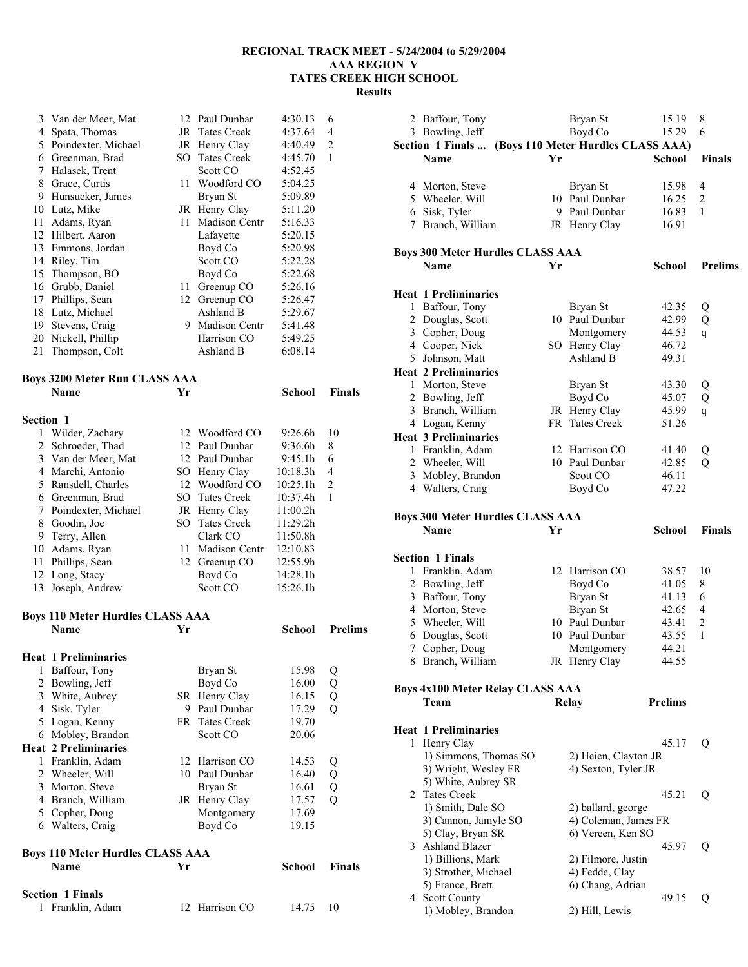**School Prelims** 

| 3  | Van der Meer, Mat   |     | 12 Paul Dunbar       | 4:30.13 | 6              |
|----|---------------------|-----|----------------------|---------|----------------|
| 4  | Spata, Thomas       |     | JR Tates Creek       | 4:37.64 | 4              |
| 5  | Poindexter, Michael | JR  | Henry Clay           | 4:40.49 | $\overline{2}$ |
| 6  | Greenman, Brad      | SO. | <b>Tates Creek</b>   | 4:45.70 | 1              |
| 7  | Halasek, Trent      |     | Scott CO             | 4:52.45 |                |
| 8  | Grace, Curtis       | 11  | Woodford CO          | 5:04.25 |                |
| 9  | Hunsucker, James    |     | Bryan St             | 5:09.89 |                |
| 10 | Lutz, Mike          | JR  | Henry Clay           | 5:11.20 |                |
| 11 | Adams, Ryan         | 11  | <b>Madison Centr</b> | 5:16.33 |                |
| 12 | Hilbert, Aaron      |     | Lafayette            | 5:20.15 |                |
| 13 | Emmons, Jordan      |     | Boyd Co              | 5:20.98 |                |
| 14 | Riley, Tim          |     | Scott CO             | 5:22.28 |                |
| 15 | Thompson, BO        |     | Boyd Co              | 5:22.68 |                |
| 16 | Grubb, Daniel       | 11  | Greenup CO           | 5:26.16 |                |
| 17 | Phillips, Sean      | 12  | Greenup CO           | 5:26.47 |                |
| 18 | Lutz, Michael       |     | Ashland B            | 5:29.67 |                |
| 19 | Stevens, Craig      | 9   | <b>Madison Centr</b> | 5:41.48 |                |
| 20 | Nickell, Phillip    |     | Harrison CO          | 5:49.25 |                |
| 21 | Thompson, Colt      |     | Ashland B            | 6:08.14 |                |

## **Boys 3200 Meter Run CLASS AAA**

|                     |                                             |                      |                                                                                                                                                             | <b>Finals</b>                 |
|---------------------|---------------------------------------------|----------------------|-------------------------------------------------------------------------------------------------------------------------------------------------------------|-------------------------------|
|                     |                                             |                      |                                                                                                                                                             |                               |
|                     |                                             |                      |                                                                                                                                                             |                               |
|                     |                                             |                      |                                                                                                                                                             | 10                            |
| 2 Schroeder, Thad   |                                             |                      | 9:36.6h                                                                                                                                                     | 8                             |
| 3 Van der Meer, Mat |                                             |                      | 9:45.1h                                                                                                                                                     | 6                             |
| Marchi, Antonio     |                                             |                      | 10:18.3h                                                                                                                                                    | 4                             |
| Ransdell, Charles   |                                             |                      | 10:25.1h                                                                                                                                                    | 2                             |
| Greenman, Brad      |                                             |                      | 10:37.4h                                                                                                                                                    | 1                             |
| Poindexter, Michael |                                             |                      | 11:00.2h                                                                                                                                                    |                               |
| Goodin, Joe         |                                             |                      | 11:29.2h                                                                                                                                                    |                               |
| Terry, Allen        |                                             | Clark CO             | 11:50.8h                                                                                                                                                    |                               |
| Adams, Ryan         | 11                                          | <b>Madison Centr</b> | 12:10.83                                                                                                                                                    |                               |
| Phillips, Sean      |                                             |                      | 12:55.9h                                                                                                                                                    |                               |
| 12 Long, Stacy      |                                             | Boyd Co              | 14:28.1h                                                                                                                                                    |                               |
| Joseph, Andrew      |                                             | Scott CO             | 15:26.1h                                                                                                                                                    |                               |
|                     | Name<br><b>Section 1</b><br>Wilder, Zachary | $5 + 100$<br>Yr      | 12 Woodford CO<br>12 Paul Dunbar<br>12 Paul Dunbar<br>SO Henry Clay<br>12 Woodford CO<br>SO Tates Creek<br>JR Henry Clay<br>SO Tates Creek<br>12 Greenup CO | School<br>9:26.6 <sup>h</sup> |

# **Boys 110 Meter Hurdles CLASS AAA**

|    | <b>Heat 1 Preliminaries</b>             |      |                |        |               |
|----|-----------------------------------------|------|----------------|--------|---------------|
| 1  | Baffour, Tony                           |      | Bryan St       | 15.98  | Q             |
| 2  | Bowling, Jeff                           |      | Boyd Co        | 16.00  | Q             |
| 3  | White, Aubrey                           | SR - | Henry Clay     | 16.15  | Q             |
| 4  | Sisk, Tyler                             | 9    | Paul Dunbar    | 17.29  | Q             |
| 5  | Logan, Kenny                            |      | FR Tates Creek | 19.70  |               |
| 6  | Mobley, Brandon                         |      | Scott CO       | 20.06  |               |
|    | <b>Heat 2 Preliminaries</b>             |      |                |        |               |
| 1  | Franklin, Adam                          |      | 12 Harrison CO | 14.53  | Q             |
| 2  | Wheeler, Will                           | 10   | Paul Dunbar    | 16.40  | Q             |
| 3  | Morton, Steve                           |      | Bryan St       | 16.61  | Q             |
| 4  | Branch, William                         | JR   | Henry Clay     | 17.57  | Q             |
| 5. | Copher, Doug                            |      | Montgomery     | 17.69  |               |
| 6  | Walters, Craig                          |      | Boyd Co        | 19.15  |               |
|    | <b>Boys 110 Meter Hurdles CLASS AAA</b> |      |                |        |               |
|    | <b>Name</b>                             | Yr   |                | School | <b>Finals</b> |
|    | <b>Section 1 Finals</b>                 |      |                |        |               |
| 1  | Franklin, Adam                          |      | 12 Harrison CO | 14.75  | 10            |

|   | 2 Baffour, Tony                         |    | Bryan St                           | 15.19          | 8              |
|---|-----------------------------------------|----|------------------------------------|----------------|----------------|
|   | 3 Bowling, Jeff                         |    | Boyd Co                            | 15.29          | 6              |
|   | Section 1 Finals                        |    | (Boys 110 Meter Hurdles CLASS AAA) |                |                |
|   | Name                                    | Yr |                                    | School         | <b>Finals</b>  |
|   |                                         |    |                                    |                |                |
|   | 4 Morton, Steve                         |    | Bryan St                           | 15.98          | 4              |
|   | 5 Wheeler, Will                         |    | 10 Paul Dunbar                     | 16.25          | 2              |
|   | 6 Sisk, Tyler                           |    | 9 Paul Dunbar                      | 16.83          | 1              |
|   | 7 Branch, William                       |    | JR Henry Clay                      | 16.91          |                |
|   |                                         |    |                                    |                |                |
|   |                                         |    |                                    |                |                |
|   | <b>Boys 300 Meter Hurdles CLASS AAA</b> |    |                                    |                |                |
|   | <b>Name</b>                             | Yr |                                    | <b>School</b>  | <b>Prelims</b> |
|   |                                         |    |                                    |                |                |
|   | <b>Heat 1 Preliminaries</b>             |    |                                    |                |                |
|   | 1 Baffour, Tony                         |    | Bryan St                           | 42.35          | Q              |
|   | 2 Douglas, Scott                        |    | 10 Paul Dunbar                     | 42.99          | Q              |
|   | 3 Copher, Doug                          |    | Montgomery                         | 44.53          | q              |
|   | 4 Cooper, Nick                          |    | SO Henry Clay                      | 46.72          |                |
|   | 5 Johnson, Matt                         |    | Ashland B                          | 49.31          |                |
|   | <b>Heat 2 Preliminaries</b>             |    |                                    |                |                |
|   | 1 Morton, Steve                         |    | Bryan St                           | 43.30          | Q              |
|   | 2 Bowling, Jeff                         |    | Boyd Co                            | 45.07          | Q              |
|   | 3 Branch, William                       |    | JR Henry Clay                      | 45.99          |                |
|   |                                         | FR | <b>Tates Creek</b>                 | 51.26          | $\mathbf{q}$   |
|   | 4 Logan, Kenny                          |    |                                    |                |                |
|   | <b>Heat 3 Preliminaries</b>             |    |                                    |                |                |
|   | 1 Franklin, Adam                        |    | 12 Harrison CO                     | 41.40          | Q              |
|   | 2 Wheeler, Will                         |    | 10 Paul Dunbar                     | 42.85          | Q              |
|   | 3 Mobley, Brandon                       |    | Scott CO                           | 46.11          |                |
|   | 4 Walters, Craig                        |    | Boyd Co                            | 47.22          |                |
|   |                                         |    |                                    |                |                |
|   | <b>Boys 300 Meter Hurdles CLASS AAA</b> |    |                                    |                |                |
|   | <b>Name</b>                             | Yr |                                    | <b>School</b>  | Finals         |
|   |                                         |    |                                    |                |                |
|   | <b>Section 1 Finals</b>                 |    |                                    |                |                |
|   |                                         |    | 12 Harrison CO                     |                | 10             |
|   | 1 Franklin, Adam                        |    |                                    | 38.57          |                |
|   |                                         |    |                                    |                |                |
|   | 2 Bowling, Jeff                         |    | Boyd Co                            | 41.05          | 8              |
|   | 3 Baffour, Tony                         |    | Bryan St                           | 41.13          | 6              |
|   | 4 Morton, Steve                         |    | Bryan St                           | 42.65          | 4              |
|   | 5 Wheeler, Will                         |    | 10 Paul Dunbar                     | 43.41          | $\overline{c}$ |
|   | 6 Douglas, Scott                        |    | 10 Paul Dunbar                     | 43.55          | 1              |
| 7 | Copher, Doug                            |    | Montgomery                         | 44.21          |                |
|   | 8 Branch, William                       |    | JR Henry Clay                      | 44.55          |                |
|   |                                         |    |                                    |                |                |
|   | <b>Boys 4x100 Meter Relay CLASS AAA</b> |    |                                    |                |                |
|   | Team                                    |    | Relay                              | <b>Prelims</b> |                |
|   |                                         |    |                                    |                |                |
|   |                                         |    |                                    |                |                |
|   | <b>Heat 1 Preliminaries</b>             |    |                                    |                |                |
| 1 | Henry Clay                              |    |                                    | 45.17          | Q              |
|   | 1) Simmons, Thomas SO                   |    | 2) Heien, Clayton JR               |                |                |
|   | 3) Wright, Wesley FR                    |    | 4) Sexton, Tyler JR                |                |                |
|   | 5) White, Aubrey SR                     |    |                                    |                |                |
|   | 2 Tates Creek                           |    |                                    | 45.21          | Q              |
|   | 1) Smith, Dale SO                       |    | 2) ballard, george                 |                |                |
|   | 3) Cannon, Jamyle SO                    |    | 4) Coleman, James FR               |                |                |
|   | 5) Clay, Bryan SR                       |    | 6) Vereen, Ken SO                  |                |                |
|   | 3 Ashland Blazer                        |    |                                    | 45.97          | Q              |
|   | 1) Billions, Mark                       |    | 2) Filmore, Justin                 |                |                |
|   | 3) Strother, Michael                    |    | 4) Fedde, Clay                     |                |                |
|   | 5) France, Brett                        |    | 6) Chang, Adrian                   |                |                |
|   | 4 Scott County                          |    |                                    | 49.15          | Q              |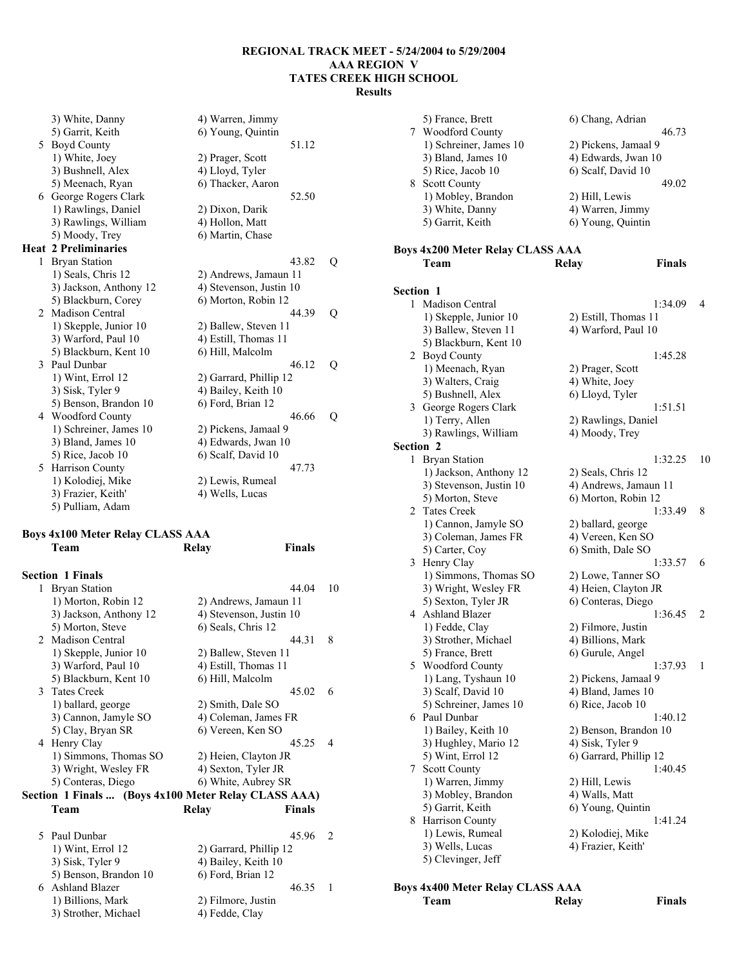|                | 3) White, Danny             | 4) Warren, Jimmy        |  |
|----------------|-----------------------------|-------------------------|--|
|                | 5) Garrit, Keith            | 6) Young, Quintin       |  |
|                | 5 Boyd County               | 51.12                   |  |
|                | 1) White, Joey              | 2) Prager, Scott        |  |
|                | 3) Bushnell, Alex           | 4) Lloyd, Tyler         |  |
|                | 5) Meenach, Ryan            | 6) Thacker, Aaron       |  |
|                | 6 George Rogers Clark       | 52.50                   |  |
|                | 1) Rawlings, Daniel         | 2) Dixon, Darik         |  |
|                | 3) Rawlings, William        | 4) Hollon, Matt         |  |
|                | 5) Moody, Trey              | 6) Martin, Chase        |  |
|                | <b>Heat 2 Preliminaries</b> |                         |  |
| 1              | <b>Bryan Station</b>        | 43.82<br>Q              |  |
|                | 1) Seals, Chris 12          | 2) Andrews, Jamaun 11   |  |
|                | 3) Jackson, Anthony 12      | 4) Stevenson, Justin 10 |  |
|                | 5) Blackburn, Corey         | 6) Morton, Robin 12     |  |
| $\overline{2}$ | <b>Madison Central</b>      | 44.39<br>Q              |  |
|                | 1) Skepple, Junior 10       | 2) Ballew, Steven 11    |  |
|                | 3) Warford, Paul 10         | 4) Estill, Thomas 11    |  |
|                | 5) Blackburn, Kent 10       | 6) Hill, Malcolm        |  |
|                | 3 Paul Dunbar               | 46 12<br>Q              |  |
|                | 1) Wint, Errol 12           | 2) Garrard, Phillip 12  |  |
|                | 3) Sisk, Tyler 9            | 4) Bailey, Keith 10     |  |
|                | 5) Benson, Brandon 10       | 6) Ford, Brian 12       |  |
|                | 4 Woodford County           | 46.66<br>Q              |  |
|                | 1) Schreiner, James 10      | 2) Pickens, Jamaal 9    |  |
|                | 3) Bland, James 10          | 4) Edwards, Jwan 10     |  |
|                | 5) Rice, Jacob 10           | 6) Scalf, David 10      |  |
| 5.             | Harrison County             | 47.73                   |  |
|                | 1) Kolodiej, Mike           | 2) Lewis, Rumeal        |  |
|                | 3) Frazier, Keith'          | 4) Wells, Lucas         |  |
|                | 5) Pulliam, Adam            |                         |  |

### **Boys 4x100 Meter Relay CLASS AAA Team Relay Finals**

| <b>Section 1 Finals</b> |                    |        |                                                                                                                                                                                                                                                                             |
|-------------------------|--------------------|--------|-----------------------------------------------------------------------------------------------------------------------------------------------------------------------------------------------------------------------------------------------------------------------------|
| 1 Bryan Station         |                    | 44.04  | 10                                                                                                                                                                                                                                                                          |
| 1) Morton, Robin 12     |                    |        |                                                                                                                                                                                                                                                                             |
| 3) Jackson, Anthony 12  |                    |        |                                                                                                                                                                                                                                                                             |
| 5) Morton, Steve        | 6) Seals, Chris 12 |        |                                                                                                                                                                                                                                                                             |
| 2 Madison Central       |                    | 44.31  | 8                                                                                                                                                                                                                                                                           |
| 1) Skepple, Junior 10   |                    |        |                                                                                                                                                                                                                                                                             |
| 3) Warford, Paul 10     |                    |        |                                                                                                                                                                                                                                                                             |
| 5) Blackburn, Kent 10   | 6) Hill, Malcolm   |        |                                                                                                                                                                                                                                                                             |
| 3 Tates Creek           |                    | 45.02  | 6                                                                                                                                                                                                                                                                           |
| 1) ballard, george      | 2) Smith, Dale SO  |        |                                                                                                                                                                                                                                                                             |
| 3) Cannon, Jamyle SO    |                    |        |                                                                                                                                                                                                                                                                             |
| 5) Clay, Bryan SR       |                    |        |                                                                                                                                                                                                                                                                             |
| Henry Clay              |                    | 45 25  | 4                                                                                                                                                                                                                                                                           |
| 1) Simmons, Thomas SO   |                    |        |                                                                                                                                                                                                                                                                             |
| 3) Wright, Wesley FR    |                    |        |                                                                                                                                                                                                                                                                             |
| 5) Conteras, Diego      |                    |        |                                                                                                                                                                                                                                                                             |
|                         |                    |        |                                                                                                                                                                                                                                                                             |
| Team                    | Relav              | Finals |                                                                                                                                                                                                                                                                             |
|                         |                    |        | 2) Andrews, Jamaun 11<br>4) Stevenson, Justin 10<br>2) Ballew, Steven 11<br>4) Estill, Thomas 11<br>4) Coleman, James FR<br>6) Vereen, Ken SO<br>2) Heien, Clayton JR<br>4) Sexton, Tyler JR<br>6) White, Aubrey SR<br>Section 1 Finals  (Boys 4x100 Meter Relay CLASS AAA) |

| 5 Paul Dunbar         | 45 96                  |  |
|-----------------------|------------------------|--|
| 1) Wint, Errol 12     | 2) Garrard, Phillip 12 |  |
| 3) Sisk, Tyler 9      | 4) Bailey, Keith 10    |  |
| 5) Benson, Brandon 10 | 6) Ford, Brian 12      |  |
| 6 Ashland Blazer      | 46.35                  |  |
| 1) Billions, Mark     | 2) Filmore, Justin     |  |
| 3) Strother, Michael  | 4) Fedde, Clay         |  |

|                  | 5) France, Brett                        | 6) Chang, Adrian                           |    |
|------------------|-----------------------------------------|--------------------------------------------|----|
|                  | 7 Woodford County                       | 46.73                                      |    |
|                  | 1) Schreiner, James 10                  | 2) Pickens, Jamaal 9                       |    |
|                  | 3) Bland, James 10                      | 4) Edwards, Jwan 10                        |    |
|                  | 5) Rice, Jacob 10                       | 6) Scalf, David 10                         |    |
|                  | 8 Scott County                          | 49.02                                      |    |
|                  | 1) Mobley, Brandon                      | 2) Hill, Lewis                             |    |
|                  | 3) White, Danny                         | 4) Warren, Jimmy                           |    |
|                  | 5) Garrit, Keith                        | 6) Young, Quintin                          |    |
|                  |                                         |                                            |    |
|                  | <b>Boys 4x200 Meter Relay CLASS AAA</b> |                                            |    |
|                  | Team                                    | <b>Finals</b><br>Relay                     |    |
|                  |                                         |                                            |    |
| <b>Section 1</b> |                                         |                                            |    |
| 1                | Madison Central                         | 1:34.09                                    | 4  |
|                  | 1) Skepple, Junior 10                   | 2) Estill, Thomas 11                       |    |
|                  | 3) Ballew, Steven 11                    | 4) Warford, Paul 10                        |    |
|                  | 5) Blackburn, Kent 10                   |                                            |    |
|                  | 2 Boyd County                           | 1:45.28                                    |    |
|                  | 1) Meenach, Ryan                        | 2) Prager, Scott                           |    |
|                  | 3) Walters, Craig                       | 4) White, Joey                             |    |
|                  | 5) Bushnell, Alex                       | 6) Lloyd, Tyler                            |    |
|                  | 3 George Rogers Clark                   | 1:51.51                                    |    |
|                  | 1) Terry, Allen                         | 2) Rawlings, Daniel                        |    |
|                  | 3) Rawlings, William                    | 4) Moody, Trey                             |    |
| <b>Section 2</b> |                                         |                                            |    |
| 1                | <b>Bryan Station</b>                    | 1:32.25                                    | 10 |
|                  | 1) Jackson, Anthony 12                  | 2) Seals, Chris 12                         |    |
|                  | 3) Stevenson, Justin 10                 | 4) Andrews, Jamaun 11                      |    |
|                  | 5) Morton, Steve                        | 6) Morton, Robin 12                        |    |
|                  | 2 Tates Creek                           | 1:33.49                                    | 8  |
|                  | 1) Cannon, Jamyle SO                    | 2) ballard, george                         |    |
|                  | 3) Coleman, James FR                    | 4) Vereen, Ken SO                          |    |
|                  | 5) Carter, Coy                          | 6) Smith, Dale SO<br>1:33.57               | 6  |
|                  | 3 Henry Clay<br>1) Simmons, Thomas SO   |                                            |    |
|                  | 3) Wright, Wesley FR                    | 2) Lowe, Tanner SO<br>4) Heien, Clayton JR |    |
|                  | 5) Sexton, Tyler JR                     | 6) Conteras, Diego                         |    |
|                  | 4 Ashland Blazer                        | 1:36.45                                    | 2  |
|                  | 1) Fedde, Clay                          | 2) Filmore, Justin                         |    |
|                  | 3) Strother, Michael                    | 4) Billions, Mark                          |    |
|                  | 5) France, Brett                        | 6) Gurule, Angel                           |    |
| 5.               | Woodford County                         | 1:37.93                                    | 1  |
|                  | 1) Lang, Tyshaun 10                     | 2) Pickens, Jamaal 9                       |    |
|                  | 3) Scalf, David 10                      | 4) Bland, James 10                         |    |
|                  | 5) Schreiner, James 10                  | 6) Rice, Jacob 10                          |    |
|                  | 6 Paul Dunbar                           | 1:40.12                                    |    |
|                  | 1) Bailey, Keith 10                     | 2) Benson, Brandon 10                      |    |
|                  | 3) Hughley, Mario 12                    | 4) Sisk, Tyler 9                           |    |
|                  | 5) Wint, Errol 12                       | 6) Garrard, Phillip 12                     |    |
|                  | 7 Scott County                          | 1:40.45                                    |    |
|                  | 1) Warren, Jimmy                        | 2) Hill, Lewis                             |    |
|                  | 3) Mobley, Brandon                      | 4) Walls, Matt                             |    |
|                  | 5) Garrit, Keith                        | 6) Young, Quintin                          |    |
| 8                | Harrison County                         | 1:41.24                                    |    |
|                  | 1) Lewis, Rumeal                        | 2) Kolodiej, Mike                          |    |
|                  | 3) Wells, Lucas                         | 4) Frazier, Keith'                         |    |
|                  | 5) Clevinger, Jeff                      |                                            |    |

# **Boys 4x400 Meter Relay CLASS AAA**

**Finals**